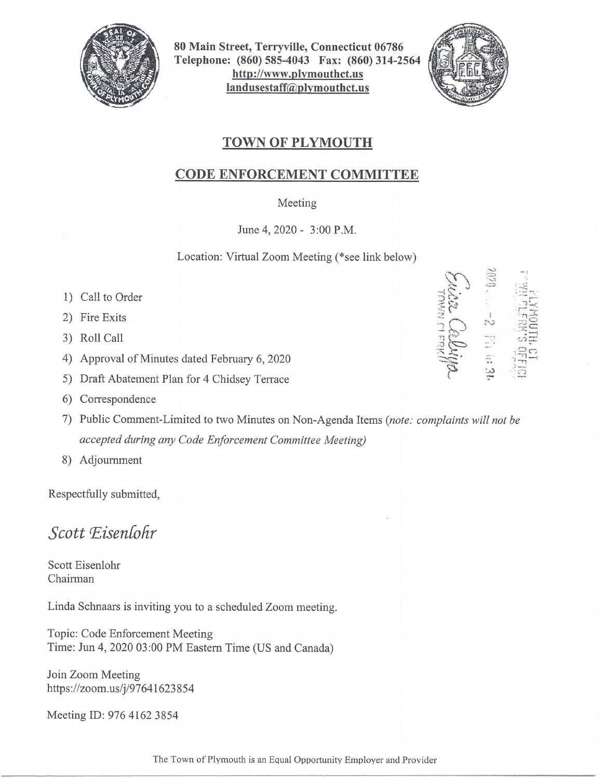

80 Main Street, Terryville, Connecticut 06786 Telephone: (860) 585-4043 Fax: (860) 314-2564 http://www.plymouthct.us landusestaff@plymouthct.us



## TOWN OF PLYMOUTH

## CODE ENFORCEMENT COMMITTEE

## Meeting

June 4, 2020 - 3:00 P.M.

Location: Virtual Zoom Meeting (\*see link below)

- 1) Call to Order
- 2) Fire Exits
- 3) Roll Call
- 4) Approval of Minutes dated February 6, 2020
- 5) Draft Abatement Plan for 4 Chidsey Terrace
- 6) Correspondence
- 7) Public Comment-Limited to two Minutes on Non-Agenda Items *(note : complaints will not be accepted during any Code Enforcement Committee Meeting)*
- 8) Adjournment

Respectfully submitted,

## *Scott P,isen[ohr*

Scott Eisenlohr Chairman

Linda Schnaars is inviting you to a scheduled Zoom meeting.

Topic: Code Enforcement Meeting Time: Jun 4, 2020 03:00 PM Eastern Time (US and Canada)

Join Zoom Meeting https://zoom.us/j/97641623854

Meeting ID: 976 4162 3854

- ; ---r ARL CALL  $\approx$   $\approx$   $\approx$  $\mathbb{S}^{\pm\mathbb{N}}_{\mathbb{S}^{\pm}}$  $\frac{155}{111}$ C)